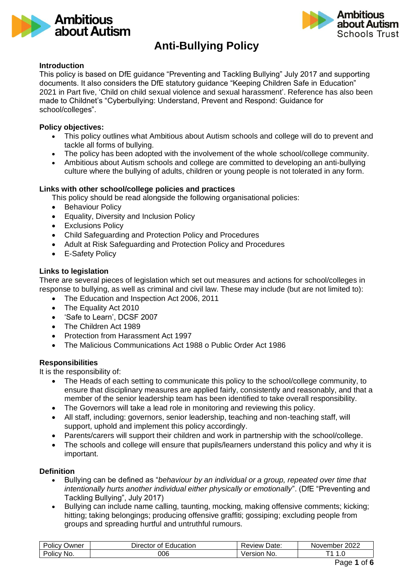



# **Anti-Bullying Policy**

## **Introduction**

This policy is based on DfE guidance "Preventing and Tackling Bullying" July 2017 and supporting documents. It also considers the DfE statutory guidance "Keeping Children Safe in Education" 2021 in Part five, 'Child on child sexual violence and sexual harassment'. Reference has also been made to Childnet's "Cyberbullying: Understand, Prevent and Respond: Guidance for school/colleges".

## **Policy objectives:**

- This policy outlines what Ambitious about Autism schools and college will do to prevent and tackle all forms of bullying.
- The policy has been adopted with the involvement of the whole school/college community.
- Ambitious about Autism schools and college are committed to developing an anti-bullying culture where the bullying of adults, children or young people is not tolerated in any form.

# **Links with other school/college policies and practices**

This policy should be read alongside the following organisational policies:

- Behaviour Policy
- Equality, Diversity and Inclusion Policy
- Exclusions Policy
- Child Safeguarding and Protection Policy and Procedures
- Adult at Risk Safeguarding and Protection Policy and Procedures
- E-Safety Policy

#### **Links to legislation**

There are several pieces of legislation which set out measures and actions for school/colleges in response to bullying, as well as criminal and civil law. These may include (but are not limited to):

- The Education and Inspection Act 2006, 2011
- The Equality Act 2010
- 'Safe to Learn', DCSF 2007
- The Children Act 1989
- Protection from Harassment Act 1997
- The Malicious Communications Act 1988 o Public Order Act 1986

# **Responsibilities**

It is the responsibility of:

- The Heads of each setting to communicate this policy to the school/college community, to ensure that disciplinary measures are applied fairly, consistently and reasonably, and that a member of the senior leadership team has been identified to take overall responsibility.
- The Governors will take a lead role in monitoring and reviewing this policy.
- All staff, including: governors, senior leadership, teaching and non-teaching staff, will support, uphold and implement this policy accordingly.
- Parents/carers will support their children and work in partnership with the school/college.
- The schools and college will ensure that pupils/learners understand this policy and why it is important.

#### **Definition**

- Bullying can be defined as "*behaviour by an individual or a group, repeated over time that intentionally hurts another individual either physically or emotionally*". (DfE "Preventing and Tackling Bullying", July 2017)
- Bullying can include name calling, taunting, mocking, making offensive comments; kicking; hitting; taking belongings; producing offensive graffiti; gossiping; excluding people from groups and spreading hurtful and untruthful rumours.

| .<br>-<br>Policy<br>שwner | _<br>Education<br>Director∟<br>Οt | -<br>Date:<br><b>Review</b> | 2022<br>November |
|---------------------------|-----------------------------------|-----------------------------|------------------|
| <br>Policy<br>No.         | 006                               | ersion<br>No.               | . . U            |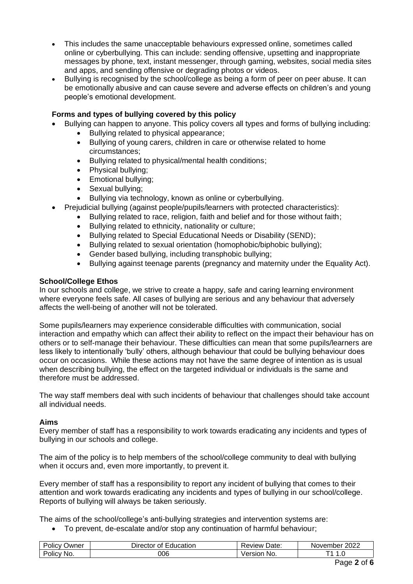- This includes the same unacceptable behaviours expressed online, sometimes called online or cyberbullying. This can include: sending offensive, upsetting and inappropriate messages by phone, text, instant messenger, through gaming, websites, social media sites and apps, and sending offensive or degrading photos or videos.
- Bullying is recognised by the school/college as being a form of peer on peer abuse. It can be emotionally abusive and can cause severe and adverse effects on children's and young people's emotional development.

# **Forms and types of bullying covered by this policy**

- Bullying can happen to anyone. This policy covers all types and forms of bullying including:
	- Bullying related to physical appearance;
	- Bullying of young carers, children in care or otherwise related to home circumstances;
	- Bullying related to physical/mental health conditions;
	- Physical bullying;
	- Emotional bullying;
	- Sexual bullying;
	- Bullying via technology, known as online or cyberbullying.
- Prejudicial bullying (against people/pupils/learners with protected characteristics):
	- Bullying related to race, religion, faith and belief and for those without faith;
		- Bullying related to ethnicity, nationality or culture;
		- Bullying related to Special Educational Needs or Disability (SEND);
		- Bullying related to sexual orientation (homophobic/biphobic bullying);
		- Gender based bullying, including transphobic bullying;
		- Bullying against teenage parents (pregnancy and maternity under the Equality Act).

# **School/College Ethos**

In our schools and college, we strive to create a happy, safe and caring learning environment where everyone feels safe. All cases of bullying are serious and any behaviour that adversely affects the well-being of another will not be tolerated.

Some pupils/learners may experience considerable difficulties with communication, social interaction and empathy which can affect their ability to reflect on the impact their behaviour has on others or to self-manage their behaviour. These difficulties can mean that some pupils/learners are less likely to intentionally 'bully' others, although behaviour that could be bullying behaviour does occur on occasions. While these actions may not have the same degree of intention as is usual when describing bullying, the effect on the targeted individual or individuals is the same and therefore must be addressed.

The way staff members deal with such incidents of behaviour that challenges should take account all individual needs.

# **Aims**

Every member of staff has a responsibility to work towards eradicating any incidents and types of bullying in our schools and college.

The aim of the policy is to help members of the school/college community to deal with bullying when it occurs and, even more importantly, to prevent it.

Every member of staff has a responsibility to report any incident of bullying that comes to their attention and work towards eradicating any incidents and types of bullying in our school/college. Reports of bullying will always be taken seriously.

The aims of the school/college's anti-bullying strategies and intervention systems are:

• To prevent, de-escalate and/or stop any continuation of harmful behaviour;

| -<br>.<br>Jwner<br>olicy    | --<br>Education<br>⊃irector ∂<br>ΩŤ | -<br>-<br>Date:<br>eview      | 2022<br>Novembei |
|-----------------------------|-------------------------------------|-------------------------------|------------------|
| -<br>NO.<br>OIIC<br>$\cdot$ | 006                                 | - - - --<br>'NO.<br>ЭΠ<br>516 | $\cdot \cdot$    |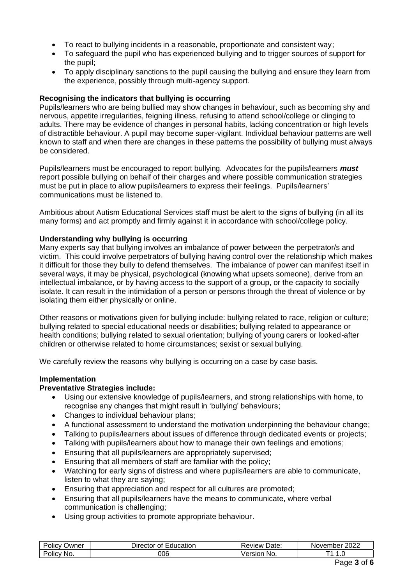- To react to bullying incidents in a reasonable, proportionate and consistent way;
- To safeguard the pupil who has experienced bullying and to trigger sources of support for the pupil;
- To apply disciplinary sanctions to the pupil causing the bullying and ensure they learn from the experience, possibly through multi-agency support.

## **Recognising the indicators that bullying is occurring**

Pupils/learners who are being bullied may show changes in behaviour, such as becoming shy and nervous, appetite irregularities, feigning illness, refusing to attend school/college or clinging to adults. There may be evidence of changes in personal habits, lacking concentration or high levels of distractible behaviour. A pupil may become super-vigilant. Individual behaviour patterns are well known to staff and when there are changes in these patterns the possibility of bullying must always be considered.

Pupils/learners must be encouraged to report bullying. Advocates for the pupils/learners *must*  report possible bullying on behalf of their charges and where possible communication strategies must be put in place to allow pupils/learners to express their feelings. Pupils/learners' communications must be listened to.

Ambitious about Autism Educational Services staff must be alert to the signs of bullying (in all its many forms) and act promptly and firmly against it in accordance with school/college policy.

#### **Understanding why bullying is occurring**

Many experts say that bullying involves an imbalance of power between the perpetrator/s and victim. This could involve perpetrators of bullying having control over the relationship which makes it difficult for those they bully to defend themselves. The imbalance of power can manifest itself in several ways, it may be physical, psychological (knowing what upsets someone), derive from an intellectual imbalance, or by having access to the support of a group, or the capacity to socially isolate. It can result in the intimidation of a person or persons through the threat of violence or by isolating them either physically or online.

Other reasons or motivations given for bullying include: bullying related to race, religion or culture; bullying related to special educational needs or disabilities; bullying related to appearance or health conditions; bullying related to sexual orientation; bullying of young carers or looked-after children or otherwise related to home circumstances; sexist or sexual bullying.

We carefully review the reasons why bullying is occurring on a case by case basis.

#### **Implementation**

#### **Preventative Strategies include:**

- Using our extensive knowledge of pupils/learners, and strong relationships with home, to recognise any changes that might result in 'bullying' behaviours;
- Changes to individual behaviour plans:
- A functional assessment to understand the motivation underpinning the behaviour change;
- Talking to pupils/learners about issues of difference through dedicated events or projects;
- Talking with pupils/learners about how to manage their own feelings and emotions;
- Ensuring that all pupils/learners are appropriately supervised;
- Ensuring that all members of staff are familiar with the policy;
- Watching for early signs of distress and where pupils/learners are able to communicate, listen to what they are saying;
- Ensuring that appreciation and respect for all cultures are promoted;
- Ensuring that all pupils/learners have the means to communicate, where verbal communication is challenging;
- Using group activities to promote appropriate behaviour.

| Policy<br>שwner | Education<br>⊃ırector<br>0t | Date:<br>Review | 2022<br>November |
|-----------------|-----------------------------|-----------------|------------------|
| Policv          | 006                         | ersion          | ▔▗               |
| No.             |                             | No.             | . . v            |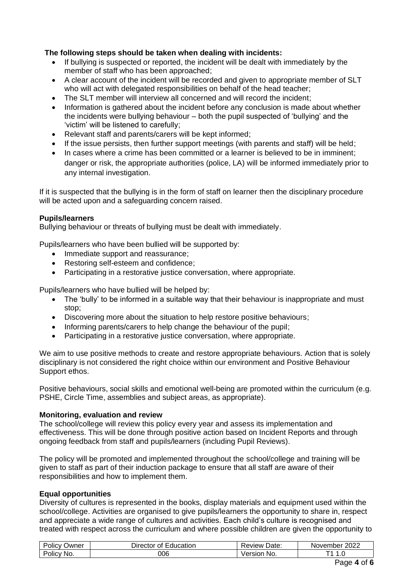# **The following steps should be taken when dealing with incidents:**

- If bullying is suspected or reported, the incident will be dealt with immediately by the member of staff who has been approached;
- A clear account of the incident will be recorded and given to appropriate member of SLT who will act with delegated responsibilities on behalf of the head teacher;
- The SLT member will interview all concerned and will record the incident:
- Information is gathered about the incident before any conclusion is made about whether the incidents were bullying behaviour – both the pupil suspected of 'bullying' and the 'victim' will be listened to carefully;
- Relevant staff and parents/carers will be kept informed;
- If the issue persists, then further support meetings (with parents and staff) will be held;
- In cases where a crime has been committed or a learner is believed to be in imminent; danger or risk, the appropriate authorities (police, LA) will be informed immediately prior to any internal investigation.

If it is suspected that the bullying is in the form of staff on learner then the disciplinary procedure will be acted upon and a safeguarding concern raised.

# **Pupils/learners**

Bullying behaviour or threats of bullying must be dealt with immediately.

Pupils/learners who have been bullied will be supported by:

- Immediate support and reassurance:
- Restoring self-esteem and confidence;
- Participating in a restorative justice conversation, where appropriate.

Pupils/learners who have bullied will be helped by:

- The 'bully' to be informed in a suitable way that their behaviour is inappropriate and must stop;
- Discovering more about the situation to help restore positive behaviours:
- Informing parents/carers to help change the behaviour of the pupil:
- Participating in a restorative justice conversation, where appropriate.

We aim to use positive methods to create and restore appropriate behaviours. Action that is solely disciplinary is not considered the right choice within our environment and Positive Behaviour Support ethos.

Positive behaviours, social skills and emotional well-being are promoted within the curriculum (e.g. PSHE, Circle Time, assemblies and subject areas, as appropriate).

# **Monitoring, evaluation and review**

The school/college will review this policy every year and assess its implementation and effectiveness. This will be done through positive action based on Incident Reports and through ongoing feedback from staff and pupils/learners (including Pupil Reviews).

The policy will be promoted and implemented throughout the school/college and training will be given to staff as part of their induction package to ensure that all staff are aware of their responsibilities and how to implement them.

# **Equal opportunities**

Diversity of cultures is represented in the books, display materials and equipment used within the school/college. Activities are organised to give pupils/learners the opportunity to share in, respect and appreciate a wide range of cultures and activities. Each child's culture is recognised and treated with respect across the curriculum and where possible children are given the opportunity to

| $\overline{\phantom{0}}$<br>$\cdots$<br>Policy<br>Owner | ⊃irector ∕<br>Education<br>Οt | Date:<br>' eview. | 2022<br>November |
|---------------------------------------------------------|-------------------------------|-------------------|------------------|
| -<br><b>Policy</b><br>No.                               | 006                           | 'ersion<br>No.    | И<br>יי          |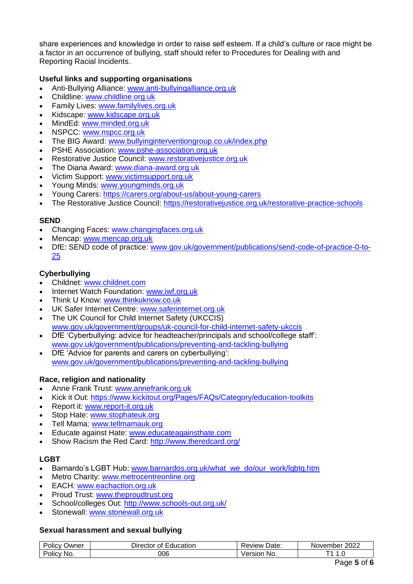share experiences and knowledge in order to raise self esteem. If a child's culture or race might be a factor in an occurrence of bullying, staff should refer to Procedures for Dealing with and Reporting Racial Incidents.

# **Useful links and supporting organisations**

- Anti-Bullying Alliance: [www.anti-bullyingalliance.org.uk](http://www.anti-bullyingalliance.org.uk/)
- Childline: [www.childline.org.uk](http://www.childline.org.uk/)
- Family Lives: [www.familylives.org.uk](http://www.familylives.org.uk/)
- Kidscape: [www.kidscape.org.uk](http://www.kidscape.org.uk/)
- MindEd: [www.minded.org.uk](http://www.minded.org.uk/)
- NSPCC: [www.nspcc.org.uk](http://www.nspcc.org.uk/)
- The BIG Award: [www.bullyinginterventiongroup.co.uk/index.php](http://www.bullyinginterventiongroup.co.uk/index.php)
- PSHE Association: [www.pshe-association.org.uk](http://www.pshe-association.org.uk/)
- Restorative Justice Council: [www.restorativejustice.org.uk](http://www.restorativejustice.org.uk/)
- The Diana Award: [www.diana-award.org.uk](http://www.diana-award.org.uk/)
- Victim Support: [www.victimsupport.org.uk](http://www.victimsupport.org.uk/)
- Young Minds: [www.youngminds.org.uk](http://www.youngminds.org.uk/)
- Young Carers:<https://carers.org/about-us/about-young-carers>
- The Restorative Justice Council:<https://restorativejustice.org.uk/restorative-practice-schools>

#### **SEND**

- Changing Faces: [www.changingfaces.org.uk](http://www.changingfaces.org.uk/)
- Mencap: [www.mencap.org.uk](http://www.mencap.org.uk/)
- DfE: SEND code of practice: [www.gov.uk/government/publications/send-code-of-practice-0-to-](http://www.gov.uk/government/publications/send-code-of-practice-0-to-25)[25](http://www.gov.uk/government/publications/send-code-of-practice-0-to-25)

# **Cyberbullying**

- Childnet: [www.childnet.com](http://www.childnet.com/)
- Internet Watch Foundation: [www.iwf.org.uk](http://www.iwf.org.uk/)
- Think U Know: [www.thinkuknow.co.uk](http://www.thinkuknow.co.uk/)
- UK Safer Internet Centre: [www.saferinternet.org.uk](http://www.saferinternet.org.uk/)
- The UK Council for Child Internet Safety (UKCCIS) [www.gov.uk/government/groups/uk-council-for-child-internet-safety-ukccis](http://www.gov.uk/government/groups/uk-council-for-child-internet-safety-ukccis)
- DfE 'Cyberbullying: advice for headteacher/principals and school/college staff': [www.gov.uk/government/publications/preventing-and-tackling-bullying](http://www.gov.uk/government/publications/preventing-and-tackling-bullying)
- DfE 'Advice for parents and carers on cyberbullying': [www.gov.uk/government/publications/preventing-and-tackling-bullying](http://www.gov.uk/government/publications/preventing-and-tackling-bullying)

# **Race, religion and nationality**

- Anne Frank Trust: [www.annefrank.org.uk](http://www.annefrank.org.uk/)
- Kick it Out: <https://www.kickitout.org/Pages/FAQs/Category/education-toolkits>
- Report it: [www.report-it.org.uk](http://www.report-it.org.uk/)
- Stop Hate[: www.stophateuk.org](http://www.stophateuk.org/)
- Tell Mama: [www.tellmamauk.org](http://www.tellmamauk.org/)
- Educate against Hate: [www.educateagainsthate.com](http://www.educateagainsthate.com/)
- Show Racism the Red Card:<http://www.theredcard.org/>

# **LGBT**

- Barnardo's LGBT Hub: www.barnardos.org.uk/what\_we\_do/our\_work/lgbtg.htm
- Metro Charity: [www.metrocentreonline.org](http://www.metrocentreonline.org/)
- EACH: [www.eachaction.org.uk](http://www.eachaction.org.uk/)
- Proud Trust: [www.theproudtrust.org](http://www.theproudtrust.org/)
- School/colleges Out:<http://www.schools-out.org.uk/>
- Stonewall: [www.stonewall.org.uk](http://www.stonewall.org.uk/)

# **Sexual harassment and sexual bullying**

| שwner<br>Olic <sup>y</sup> | ducation<br><b>⊃</b> ırector<br>~+<br>ا ال | Date:<br><b>Review</b> ' | 2022<br>November |
|----------------------------|--------------------------------------------|--------------------------|------------------|
| NO.<br>olic"               | 006                                        | NO.<br>יור               | U                |